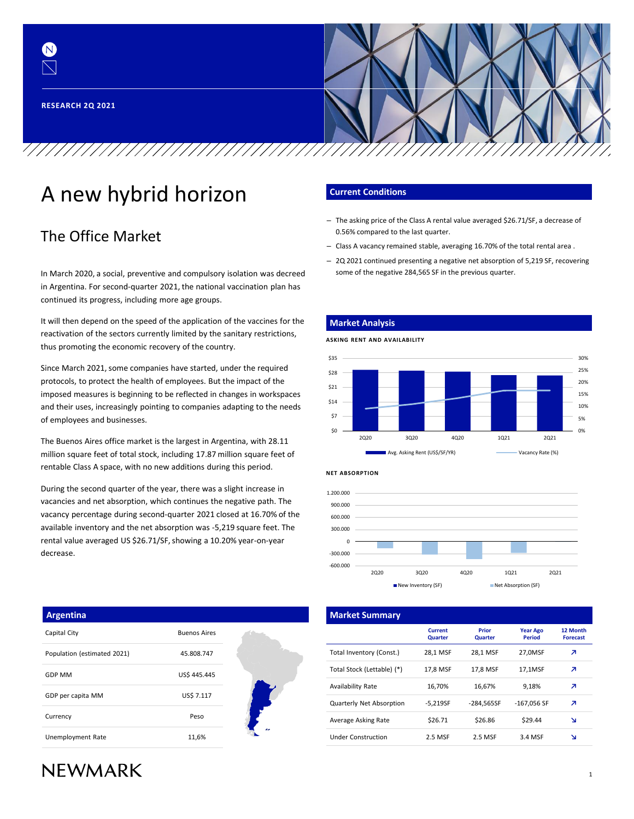

# A new hybrid horizon

## The Office Market

In March 2020, a social, preventive and compulsory isolation was decreed in Argentina. For second-quarter 2021, the national vaccination plan has continued its progress, including more age groups.

It will then depend on the speed of the application of the vaccines for the reactivation of the sectors currently limited by the sanitary restrictions, thus promoting the economic recovery of the country.

Since March 2021, some companies have started, under the required protocols, to protect the health of employees. But the impact of the imposed measures is beginning to be reflected in changes in workspaces and their uses, increasingly pointing to companies adapting to the needs of employees and businesses.

The Buenos Aires office market is the largest in Argentina, with 28.11 million square feet of total stock, including 17.87 million square feet of rentable Class A space, with no new additions during this period.

During the second quarter of the year, there was a slight increase in vacancies and net absorption, which continues the negative path. The vacancy percentage during second-quarter 2021 closed at 16.70% of the available inventory and the net absorption was -5,219 square feet. The rental value averaged US \$26.71/SF, showing a 10.20% year-on-year decrease.

#### **Current Conditions**

**Market Analysis**

- The asking price of the Class A rental value averaged \$26.71/SF, a decrease of 0.56% compared to the last quarter.
- Class A vacancy remained stable, averaging 16.70% of the total rental area .
- 2Q 2021 continued presenting a negative net absorption of 5,219 SF, recovering some of the negative 284,565 SF in the previous quarter.







|                               | <b>Market Summary</b>      |                                  |                                |                                  |                              |
|-------------------------------|----------------------------|----------------------------------|--------------------------------|----------------------------------|------------------------------|
|                               |                            | <b>Current</b><br><b>Quarter</b> | <b>Prior</b><br><b>Quarter</b> | <b>Year Ago</b><br><b>Period</b> | <b>12 Mc</b><br><b>Forec</b> |
|                               | Total Inventory (Const.)   | 28,1 MSF                         | 28,1 MSF                       | 27,0MSF                          | z                            |
|                               | Total Stock (Lettable) (*) | 17,8 MSF                         | 17,8 MSF                       | 17,1MSF                          | z                            |
| Availability Rate             |                            | 16,70%                           | 16,67%                         | 9.18%                            | z                            |
|                               | Quarterly Net Absorption   | $-5,219SF$                       | $-284.5655F$                   | $-167,056$ SF                    | z                            |
| Average Asking Rate           |                            | \$26.71                          | \$26.86                        | \$29.44                          | N                            |
| <br><b>Under Construction</b> |                            | 2.5 MSF                          | 2.5 MSF                        | 3.4 MSF                          | N                            |

#### **Argentina**

| Capital City                | <b>Buenos Aires</b> |
|-----------------------------|---------------------|
| Population (estimated 2021) | 45.808.747          |
| <b>GDP MM</b>               | US\$ 445,445        |
| GDP per capita MM           | <b>US\$ 7.117</b>   |
| Currency                    | Peso                |
| Unemployment Rate           | 11,6%               |

# **NEWMARK**

#### 1

**12 Month Forecast**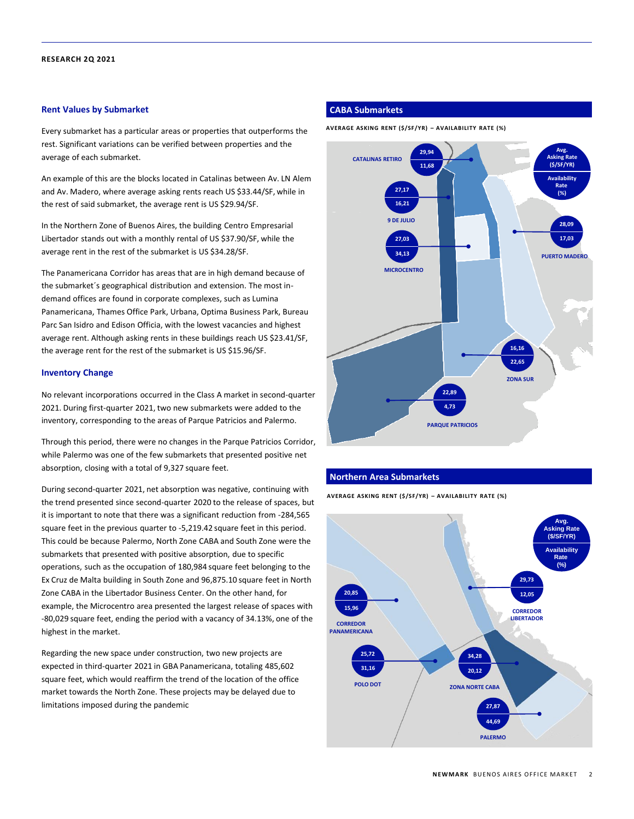#### **Rent Values by Submarket**

Every submarket has a particular areas or properties that outperforms the rest. Significant variations can be verified between properties and the average of each submarket.

An example of this are the blocks located in Catalinas between Av. LN Alem and Av. Madero, where average asking rents reach US \$33.44/SF, while in the rest of said submarket, the average rent is US \$29.94/SF.

In the Northern Zone of Buenos Aires, the building Centro Empresarial Libertador stands out with a monthly rental of US \$37.90/SF, while the average rent in the rest of the submarket is US \$34.28/SF.

The Panamericana Corridor has areas that are in high demand because of the submarket´s geographical distribution and extension. The most indemand offices are found in corporate complexes, such as Lumina Panamericana, Thames Office Park, Urbana, Optima Business Park, Bureau Parc San Isidro and Edison Officia, with the lowest vacancies and highest average rent. Although asking rents in these buildings reach US \$23.41/SF, the average rent for the rest of the submarket is US \$15.96/SF.

#### **Inventory Change**

No relevant incorporations occurred in the Class A market in second-quarter 2021. During first-quarter 2021, two new submarkets were added to the inventory, corresponding to the areas of Parque Patricios and Palermo.

Through this period, there were no changes in the Parque Patricios Corridor, while Palermo was one of the few submarkets that presented positive net absorption, closing with a total of 9,327 square feet.

During second-quarter 2021, net absorption was negative, continuing with the trend presented since second-quarter 2020 to the release of spaces, but it is important to note that there was a significant reduction from -284,565 square feet in the previous quarter to -5,219.42 square feet in this period. This could be because Palermo, North Zone CABA and South Zone were the submarkets that presented with positive absorption, due to specific operations, such as the occupation of 180,984 square feet belonging to the Ex Cruz de Malta building in South Zone and 96,875.10 square feet in North Zone CABA in the Libertador Business Center. On the other hand, for example, the Microcentro area presented the largest release of spaces with -80,029 square feet, ending the period with a vacancy of 34.13%, one of the highest in the market.

Regarding the new space under construction, two new projects are expected in third-quarter 2021 in GBA Panamericana, totaling 485,602 square feet, which would reaffirm the trend of the location of the office market towards the North Zone. These projects may be delayed due to limitations imposed during the pandemic

#### **CABA Submarkets**

**AVERAGE ASKING RENT (\$/SF/YR) – AVAILABILITY RATE (%)**



#### **Northern Area Submarkets**

**AVERAGE ASKING RENT (\$/SF/YR) – AVAILABILITY RATE (%)**

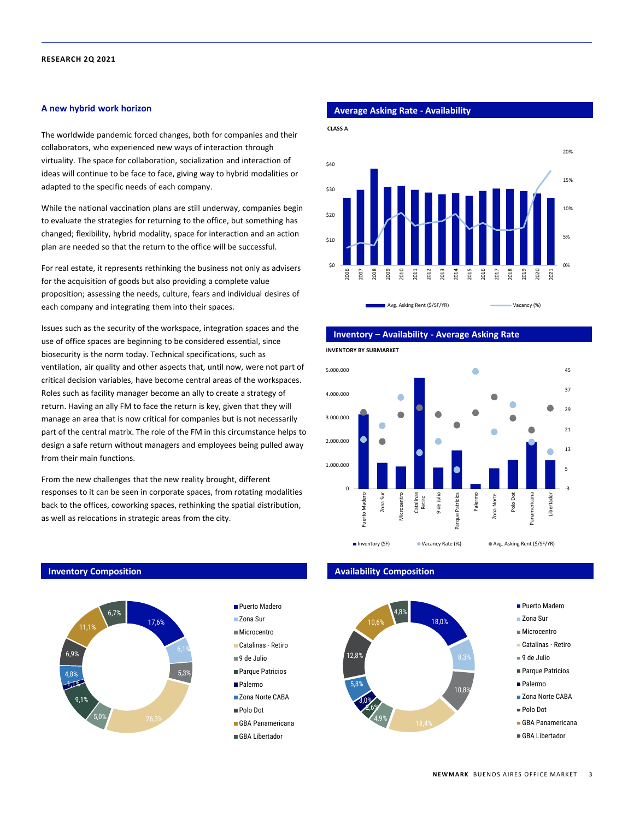#### **A new hybrid work horizon**

The worldwide pandemic forced changes, both for companies and their collaborators, who experienced new ways of interaction through virtuality. The space for collaboration, socialization and interaction of ideas will continue to be face to face, giving way to hybrid modalities or adapted to the specific needs of each company.

While the national vaccination plans are still underway, companies begin to evaluate the strategies for returning to the office, but something has changed; flexibility, hybrid modality, space for interaction and an action plan are needed so that the return to the office will be successful.

For real estate, it represents rethinking the business not only as advisers for the acquisition of goods but also providing a complete value proposition; assessing the needs, culture, fears and individual desires of each company and integrating them into their spaces.

Issues such as the security of the workspace, integration spaces and the use of office spaces are beginning to be considered essential, since biosecurity is the norm today. Technical specifications, such as ventilation, air quality and other aspects that, until now, were not part of critical decision variables, have become central areas of the workspaces. Roles such as facility manager become an ally to create a strategy of return. Having an ally FM to face the return is key, given that they will manage an area that is now critical for companies but is not necessarily part of the central matrix. The role of the FM in this circumstance helps to design a safe return without managers and employees being pulled away from their main functions.

From the new challenges that the new reality brought, different responses to it can be seen in corporate spaces, from rotating modalities back to the offices, coworking spaces, rethinking the spatial distribution, as well as relocations in strategic areas from the city.

> **Puerto Madero** ■Zona Sur **Microcentro** Catalinas - Retiro 9 de Julio **Parque Patricios Palermo Zona Norte CABA** Polo Dot GBA Panamericana GBA Libertador



#### **Inventory – Availability - Average Asking Rate**

**INVENTORY BY SUBMARKET**



#### **Inventory Composition Availability Composition**



#### ■ Puerto Madero

- Zona Sur
- Microcentro
- Catalinas Retiro
- 9 de Julio
- Parque Patricios
- Palermo
- Zona Norte CABA
- Polo Dot
- GBA Panamericana
- GBA Libertador

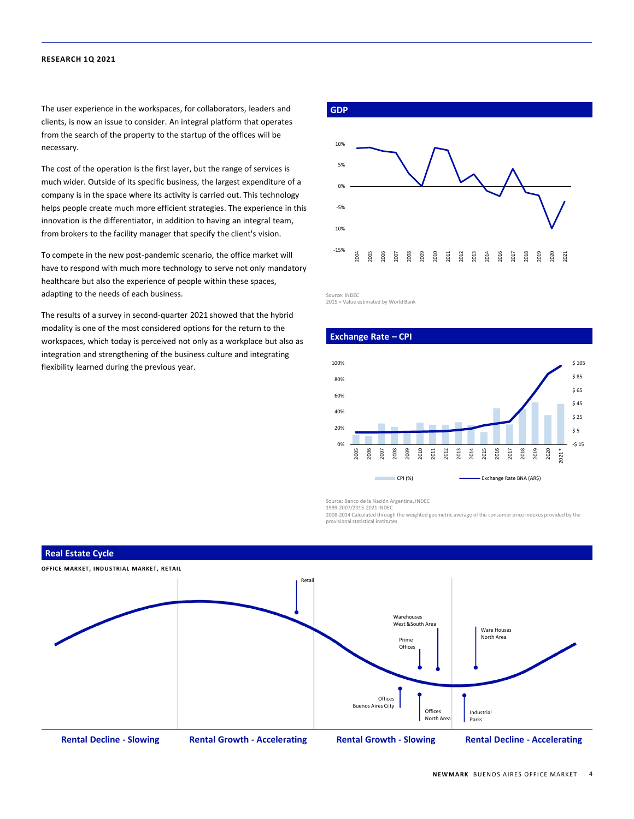The user experience in the workspaces, for collaborators, leaders and clients, is now an issue to consider. An integral platform that operates from the search of the property to the startup of the offices will be necessary.

The cost of the operation is the first layer, but the range of services is much wider. Outside of its specific business, the largest expenditure of a company is in the space where its activity is carried out. This technology helps people create much more efficient strategies. The experience in this innovation is the differentiator, in addition to having an integral team, from brokers to the facility manager that specify the client's vision.

To compete in the new post-pandemic scenario, the office market will have to respond with much more technology to serve not only mandatory healthcare but also the experience of people within these spaces, adapting to the needs of each business.

The results of a survey in second-quarter 2021 showed that the hybrid modality is one of the most considered options for the return to the workspaces, which today is perceived not only as a workplace but also as integration and strengthening of the business culture and integrating flexibility learned during the previous year.



Source: INDEC

2015 = Value estimated by World Bank





Source: Banco de la Nación Argentina, INDEC 1999-2007/2015-2021 INDEC

2008-2014 Calculated through the weighted geometric average of the consumer price indexes provided by the provisional statistical institutes



#### **Real Estate Cycle**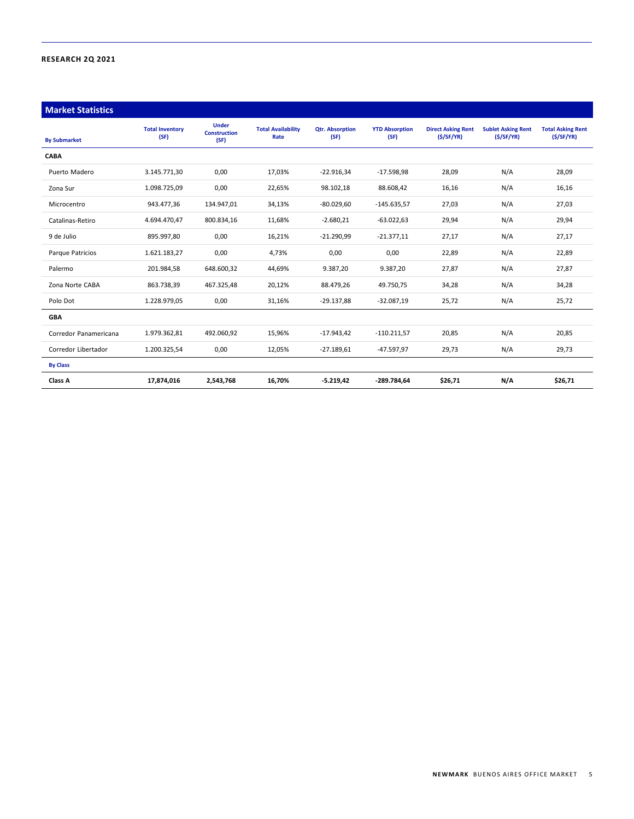| <b>Market Statistics</b> |                                |                                             |                                   |                                |                               |                                        |                                        |                                       |
|--------------------------|--------------------------------|---------------------------------------------|-----------------------------------|--------------------------------|-------------------------------|----------------------------------------|----------------------------------------|---------------------------------------|
| <b>By Submarket</b>      | <b>Total Inventory</b><br>(SF) | <b>Under</b><br><b>Construction</b><br>(SF) | <b>Total Availability</b><br>Rate | <b>Qtr. Absorption</b><br>(SF) | <b>YTD Absorption</b><br>(SF) | <b>Direct Asking Rent</b><br>(S/SF/YR) | <b>Sublet Asking Rent</b><br>(S/SF/YR) | <b>Total Asking Rent</b><br>(S/SF/YR) |
| <b>CABA</b>              |                                |                                             |                                   |                                |                               |                                        |                                        |                                       |
| Puerto Madero            | 3.145.771,30                   | 0,00                                        | 17,03%                            | $-22.916.34$                   | $-17.598,98$                  | 28,09                                  | N/A                                    | 28,09                                 |
| Zona Sur                 | 1.098.725,09                   | 0,00                                        | 22,65%                            | 98.102,18                      | 88.608,42                     | 16,16                                  | N/A                                    | 16,16                                 |
| Microcentro              | 943.477,36                     | 134.947,01                                  | 34,13%                            | $-80.029,60$                   | $-145.635,57$                 | 27,03                                  | N/A                                    | 27,03                                 |
| Catalinas-Retiro         | 4.694.470,47                   | 800.834,16                                  | 11,68%                            | $-2.680,21$                    | $-63.022,63$                  | 29,94                                  | N/A                                    | 29,94                                 |
| 9 de Julio               | 895.997,80                     | 0,00                                        | 16,21%                            | $-21.290,99$                   | $-21.377,11$                  | 27,17                                  | N/A                                    | 27,17                                 |
| Parque Patricios         | 1.621.183,27                   | 0,00                                        | 4,73%                             | 0,00                           | 0,00                          | 22,89                                  | N/A                                    | 22,89                                 |
| Palermo                  | 201.984,58                     | 648.600,32                                  | 44,69%                            | 9.387,20                       | 9.387,20                      | 27,87                                  | N/A                                    | 27,87                                 |
| Zona Norte CABA          | 863.738,39                     | 467.325,48                                  | 20,12%                            | 88.479,26                      | 49.750,75                     | 34,28                                  | N/A                                    | 34,28                                 |
| Polo Dot                 | 1.228.979,05                   | 0,00                                        | 31,16%                            | $-29.137,88$                   | $-32.087,19$                  | 25,72                                  | N/A                                    | 25,72                                 |
| <b>GBA</b>               |                                |                                             |                                   |                                |                               |                                        |                                        |                                       |
| Corredor Panamericana    | 1.979.362,81                   | 492.060,92                                  | 15,96%                            | $-17.943,42$                   | $-110.211,57$                 | 20,85                                  | N/A                                    | 20,85                                 |
| Corredor Libertador      | 1.200.325,54                   | 0,00                                        | 12,05%                            | $-27.189,61$                   | $-47.597,97$                  | 29,73                                  | N/A                                    | 29,73                                 |
| <b>By Class</b>          |                                |                                             |                                   |                                |                               |                                        |                                        |                                       |
| Class A                  | 17,874,016                     | 2,543,768                                   | 16,70%                            | $-5.219,42$                    | -289.784,64                   | \$26,71                                | N/A                                    | \$26,71                               |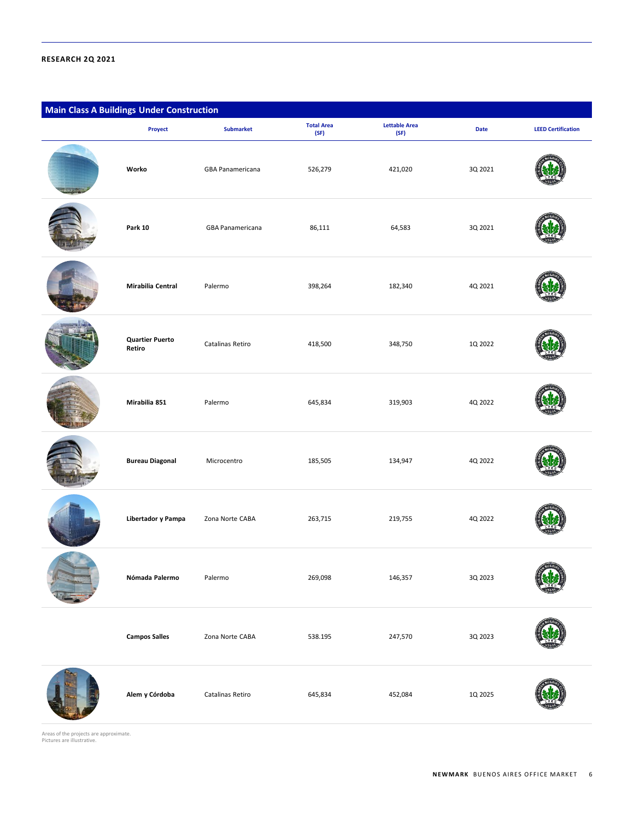| <b>Main Class A Buildings Under Construction</b> |                                  |                  |                           |                              |             |                           |  |
|--------------------------------------------------|----------------------------------|------------------|---------------------------|------------------------------|-------------|---------------------------|--|
|                                                  | Proyect                          | <b>Submarket</b> | <b>Total Area</b><br>(SF) | <b>Lettable Area</b><br>(SF) | <b>Date</b> | <b>LEED Certification</b> |  |
|                                                  | Worko                            | GBA Panamericana | 526,279                   | 421,020                      | 3Q 2021     |                           |  |
|                                                  | <b>Park 10</b>                   | GBA Panamericana | 86,111                    | 64,583                       | 3Q 2021     |                           |  |
|                                                  | Mirabilia Central                | Palermo          | 398,264                   | 182,340                      | 4Q 2021     |                           |  |
|                                                  | <b>Quartier Puerto</b><br>Retiro | Catalinas Retiro | 418,500                   | 348,750                      | 1Q 2022     |                           |  |
|                                                  | Mirabilia 851                    | Palermo          | 645,834                   | 319,903                      | 4Q 2022     |                           |  |
|                                                  | <b>Bureau Diagonal</b>           | Microcentro      | 185,505                   | 134,947                      | 4Q 2022     |                           |  |
|                                                  | Libertador y Pampa               | Zona Norte CABA  | 263,715                   | 219,755                      | 4Q 2022     |                           |  |
|                                                  | Nómada Palermo                   | Palermo          | 269,098                   | 146,357                      | 3Q 2023     |                           |  |
|                                                  | <b>Campos Salles</b>             | Zona Norte CABA  | 538.195                   | 247,570                      | 3Q 2023     |                           |  |
|                                                  | Alem y Córdoba                   | Catalinas Retiro | 645,834                   | 452,084                      | 1Q 2025     |                           |  |

Areas of the projects are approximate. Pictures are illustrative.